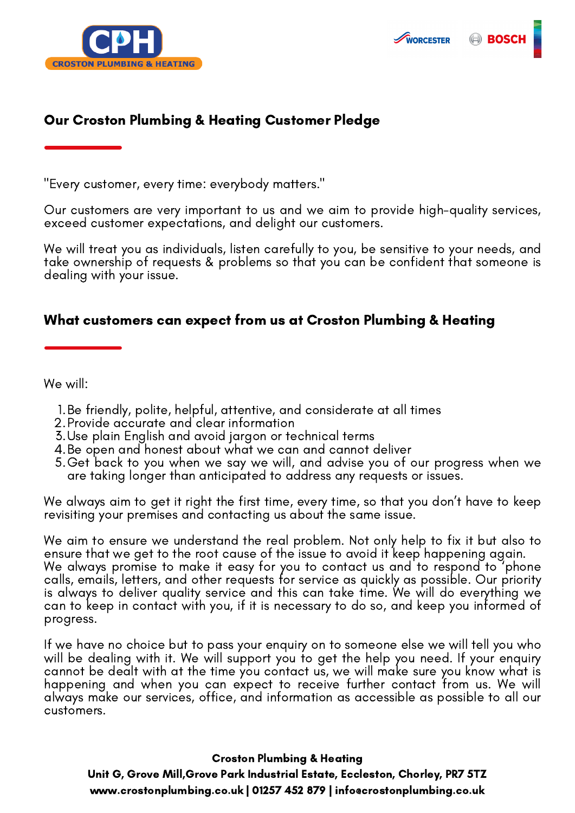

## Our Croston Plumbing & Heating Customer Pledge

"Every customer, every time: everybody matters."

Our customers are very important to us and we aim to provide high-quality services, exceed customer expectations, and delight our customers.

WORCESTER

**BOS** 

We will treat you as individuals, listen carefully to you, be sensitive to your needs, and take ownership of requests & problems so that you can be confident that someone is dealing with your issue.

#### What customers can expect from us at Croston Plumbing & Heating

We will:

- 1. Be friendly, polite, helpful, attentive, and considerate at all times
- Provide accurate and clear information 2.
- Use plain English and avoid jargon or technical terms 3.
- 4.Be open and honest about what we can and cannot deliver
- Get back to you when we say we will, and advise you of our progress when we 5. are taking longer than anticipated to address any requests or issues.

We always aim to get it right the first time, every time, so that you don't have to keep revisiting your premises and contacting us about the same issue.

We aim to ensure we understand the real problem. Not only help to fix it but also to ensure that we get to the root cause of the issue to avoid it keep happening again. We always promise to make it easy for you to contact us and to respond to 'phone calls, emails, letters, and other requests for service as quickly as possible. Our priority is always to deliver quality service and this can take time. We will do everything we can to keep in contact with you, if it is necessary to do so, and keep you informed of progress.

If we have no choice but to pass your enquiry on to someone else we will tell you who will be dealing with it. We will support you to get the help you need. If your enquiry cannot be dealt with at the time you contact us, we will make sure you know what is happening and when you can expect to receive further contact from us. We will always make our services, office, and information as accessible as possible to all our customers.

#### Croston Plumbing & Heating

Unit G, Grove Mill,Grove Park Industrial Estate, Eccleston, Chorley, PR7 5TZ www.crostonplumbing.co.uk | 01257 452 879 | info@crostonplumbing.co.uk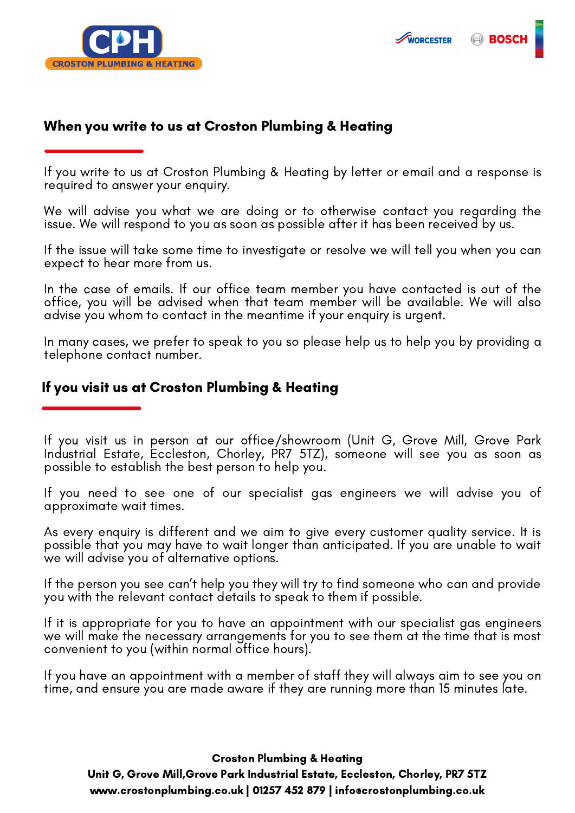



#### When you write to us at Croston Plumbing & Heating

If you write to us at Croston Plumbing & Heating by letter or email and a response is required to answer your enquiry.

We will advise you what we are doing or to otherwise contact you regarding the issue. We will respond to you as soon as possible after it has been received by us.

If the issue will take some time to investigate or resolve we will tell you when you can expect to hear more from us.

In the case of emails. If our office team member you have contacted is out of the office, you will be advised when that team member will be available. We will also advise you whom to contact in the meantime if your enquiry is urgent.

In many cases, we prefer to speak to you so please help us to help you by providing a telephone contact number.

#### If you visit us at Croston Plumbing & Heating

If you visit us in person at our office/showroom (Unit G, Grove Mill, Grove Park Industrial Estate, Eccleston, Chorley, PR7 5TZ), someone will see you as soon as possible to establish the best person to help you.

If you need to see one of our specialist gas engineers we will advise you of approximate wait times.

As every enquiry is different and we aim to give every customer quality service. It is possible that you may have to wait longer than anticipated. If you are unable to wait we will advise you of alternative options.

If the person you see can't help you they will try to find someone who can and provide you with the relevant contact details to speak to them if possible.

If it is appropriate for you to have an appointment with our specialist gas engineers we will make the necessary arrangements for you to see them at the time that is most convenient to you (within normal office hours).

If you have an appointment with a member of staff they will always aim to see you on time, and ensure you are made aware if they are running more than 15 minutes late.

Croston Plumbing & Heating

Unit G, Grove Mill,Grove Park Industrial Estate, Eccleston, Chorley, PR7 5TZ www.crostonplumbing.co.uk | 01257 452 879 | info@crostonplumbing.co.uk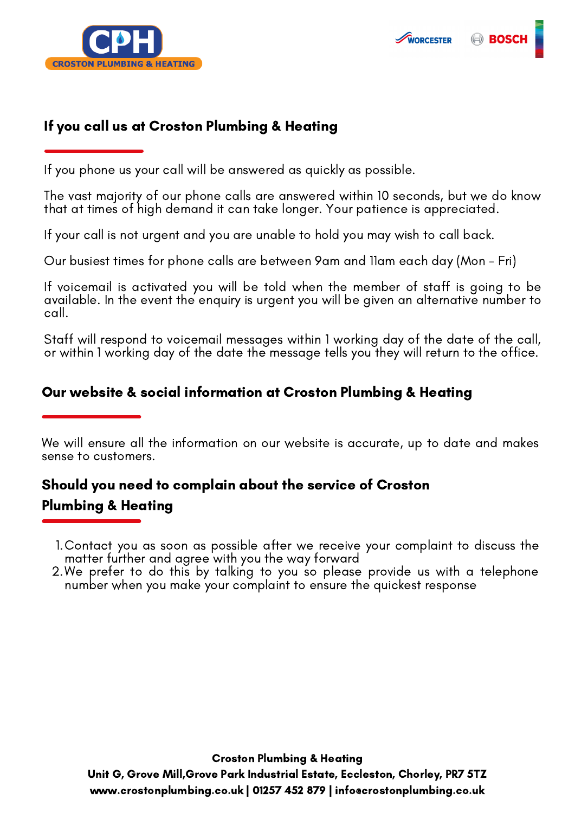

## If you call us at Croston Plumbing & Heating

If you phone us your call will be answered as quickly as possible.

The vast majority of our phone calls are answered within 10 seconds, but we do know that at times of high demand it can take longer. Your patience is appreciated.

If your call is not urgent and you are unable to hold you may wish to call back.

Our busiest times for phone calls are between 9am and 11am each day (Mon - Fri)

If voicemail is activated you will be told when the member of staff is going to be available. In the event the enquiry is urgent you will be given an alternative number to call.

Staff will respond to voicemail messages within 1 working day of the date of the call, or within 1 working day of the date the message tells you they will return to the office.

## Our website & social information at Croston Plumbing & Heating

We will ensure all the information on our website is accurate, up to date and makes sense to customers.

# Should you need to complain about the service of Croston Plumbing & Heating

- Contact you as soon as possible after we receive your complaint to discuss the 1. matter further and agree with you the way forward
- We prefer to do this by talking to you so please provide us with a telephone 2.number when you make your complaint to ensure the quickest response

Croston Plumbing & Heating

Unit G, Grove Mill,Grove Park Industrial Estate, Eccleston, Chorley, PR7 5TZ www.crostonplumbing.co.uk | 01257 452 879 | info@crostonplumbing.co.uk